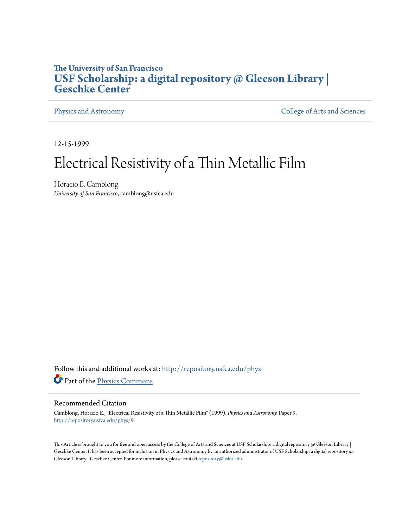# **The University of San Francisco [USF Scholarship: a digital repository @ Gleeson Library |](http://repository.usfca.edu?utm_source=repository.usfca.edu%2Fphys%2F9&utm_medium=PDF&utm_campaign=PDFCoverPages) [Geschke Center](http://repository.usfca.edu?utm_source=repository.usfca.edu%2Fphys%2F9&utm_medium=PDF&utm_campaign=PDFCoverPages)**

[Physics and Astronomy](http://repository.usfca.edu/phys?utm_source=repository.usfca.edu%2Fphys%2F9&utm_medium=PDF&utm_campaign=PDFCoverPages) [College of Arts and Sciences](http://repository.usfca.edu/artsci?utm_source=repository.usfca.edu%2Fphys%2F9&utm_medium=PDF&utm_campaign=PDFCoverPages)

12-15-1999

# Electrical Resistivity of a Thin Metallic Film

Horacio E. Camblong *University of San Francisco*, camblong@usfca.edu

Follow this and additional works at: [http://repository.usfca.edu/phys](http://repository.usfca.edu/phys?utm_source=repository.usfca.edu%2Fphys%2F9&utm_medium=PDF&utm_campaign=PDFCoverPages) Part of the [Physics Commons](http://network.bepress.com/hgg/discipline/193?utm_source=repository.usfca.edu%2Fphys%2F9&utm_medium=PDF&utm_campaign=PDFCoverPages)

## Recommended Citation

Camblong, Horacio E., "Electrical Resistivity of a Thin Metallic Film" (1999). *Physics and Astronomy.* Paper 9. [http://repository.usfca.edu/phys/9](http://repository.usfca.edu/phys/9?utm_source=repository.usfca.edu%2Fphys%2F9&utm_medium=PDF&utm_campaign=PDFCoverPages)

This Article is brought to you for free and open access by the College of Arts and Sciences at USF Scholarship: a digital repository @ Gleeson Library | Geschke Center. It has been accepted for inclusion in Physics and Astronomy by an authorized administrator of USF Scholarship: a digital repository @ Gleeson Library | Geschke Center. For more information, please contact [repository@usfca.edu](mailto:repository@usfca.edu).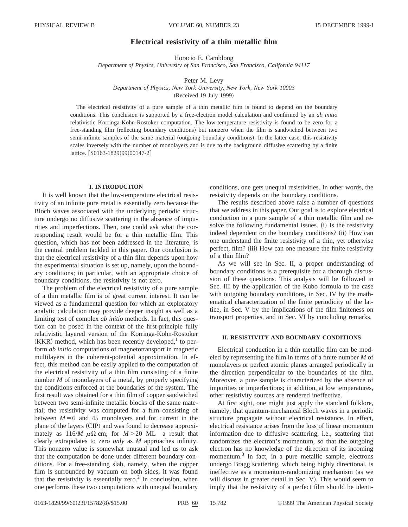### **Electrical resistivity of a thin metallic film**

Horacio E. Camblong

*Department of Physics, University of San Francisco, San Francisco, California 94117*

#### Peter M. Levy

*Department of Physics, New York University, New York, New York 10003*

(Received 19 July 1999)

The electrical resistivity of a pure sample of a thin metallic film is found to depend on the boundary conditions. This conclusion is supported by a free-electron model calculation and confirmed by an *ab initio* relativistic Korringa-Kohn-Rostoker computation. The low-temperature resistivity is found to be zero for a free-standing film (reflecting boundary conditions) but nonzero when the film is sandwiched between two semi-infinite samples of the same material (outgoing boundary conditions). In the latter case, this resistivity scales inversely with the number of monolayers and is due to the background diffusive scattering by a finite lattice. [S0163-1829(99)00147-2]

#### **I. INTRODUCTION**

It is well known that the low-temperature electrical resistivity of an infinite pure metal is essentially zero because the Bloch waves associated with the underlying periodic structure undergo no diffusive scattering in the absence of impurities and imperfections. Then, one could ask what the corresponding result would be for a thin metallic film. This question, which has not been addressed in the literature, is the central problem tackled in this paper. Our conclusion is that the electrical resistivity of a thin film depends upon how the experimental situation is set up, namely, upon the boundary conditions; in particular, with an appropriate choice of boundary conditions, the resistivity is not zero.

The problem of the electrical resistivity of a pure sample of a thin metallic film is of great current interest. It can be viewed as a fundamental question for which an exploratory analytic calculation may provide deeper insight as well as a limiting test of complex *ab initio* methods. In fact, this question can be posed in the context of the first-principle fully relativistic layered version of the Korringa-Kohn-Rostoker  $(KKR)$  method, which has been recently developed,<sup>1</sup> to perform *ab initio* computations of magnetotransport in magnetic multilayers in the coherent-potential approximation. In effect, this method can be easily applied to the computation of the electrical resistivity of a thin film consisting of a finite number *M* of monolayers of a metal, by properly specifying the conditions enforced at the boundaries of the system. The first result was obtained for a thin film of copper sandwiched between two semi-infinite metallic blocks of the same material; the resistivity was computed for a film consisting of between  $M=6$  and 45 monolayers and for current in the plane of the layers (CIP) and was found to decrease approximately as  $116/M \mu\Omega$  cm, for  $M > 20$  ML—a result that clearly extrapolates to zero *only* as *M* approaches infinity. This nonzero value is somewhat unusual and led us to ask that the computation be done under different boundary conditions. For a free-standing slab, namely, when the copper film is surrounded by vacuum on both sides, it was found that the resistivity is essentially zero.<sup>2</sup> In conclusion, when one performs these two computations with unequal boundary conditions, one gets unequal resistivities. In other words, the resistivity depends on the boundary conditions.

The results described above raise a number of questions that we address in this paper. Our goal is to explore electrical conduction in a pure sample of a thin metallic film and resolve the following fundamental issues. (i) Is the resistivity indeed dependent on the boundary conditions? (ii) How can one understand the finite resistivity of a thin, yet otherwise perfect, film? (iii) How can one measure the finite resistivity of a thin film?

As we will see in Sec. II, a proper understanding of boundary conditions is a prerequisite for a thorough discussion of these questions. This analysis will be followed in Sec. III by the application of the Kubo formula to the case with outgoing boundary conditions, in Sec. IV by the mathematical characterization of the finite periodicity of the lattice, in Sec. V by the implications of the film finiteness on transport properties, and in Sec. VI by concluding remarks.

#### **II. RESISTIVITY AND BOUNDARY CONDITIONS**

Electrical conduction in a thin metallic film can be modeled by representing the film in terms of a finite number *M* of monolayers or perfect atomic planes arranged periodically in the direction perpendicular to the boundaries of the film. Moreover, a pure sample is characterized by the absence of impurities or imperfections; in addition, at low temperatures, other resistivity sources are rendered ineffective.

At first sight, one might just apply the standard folklore, namely, that quantum-mechanical Bloch waves in a periodic structure propagate without electrical resistance. In effect, electrical resistance arises from the loss of linear momentum information due to diffusive scattering, i.e., scattering that randomizes the electron's momentum, so that the outgoing electron has no knowledge of the direction of its incoming momentum.<sup>3</sup> In fact, in a pure metallic sample, electrons undergo Bragg scattering, which being highly directional, is ineffective as a momentum-randomizing mechanism (as we will discuss in greater detail in Sec. V). This would seem to imply that the resistivity of a perfect film should be identi-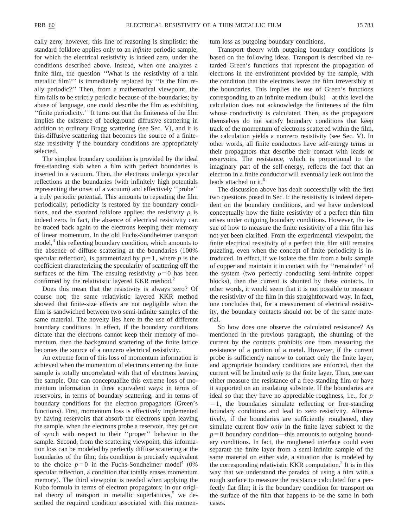cally zero; however, this line of reasoning is simplistic: the standard folklore applies only to an *infinite* periodic sample, for which the electrical resistivity is indeed zero, under the conditions described above. Instead, when one analyzes a finite film, the question ''What is the resistivity of a thin metallic film?'' is immediately replaced by ''Is the film really periodic?'' Then, from a mathematical viewpoint, the film fails to be strictly periodic because of the boundaries; by abuse of language, one could describe the film as exhibiting ''finite periodicity.'' It turns out that the finiteness of the film implies the existence of background diffusive scattering in addition to ordinary Bragg scattering (see Sec. V), and it is this diffusive scattering that becomes the source of a finitesize resistivity *if* the boundary conditions are appropriately selected.

The simplest boundary condition is provided by the ideal free-standing slab when a film with perfect boundaries is inserted in a vacuum. Then, the electrons undergo specular reflections at the boundaries (with infinitely high potentials representing the onset of a vacuum) and effectively "probe" a truly periodic potential. This amounts to repeating the film periodically; periodicity is restored by the boundary conditions, and the standard folklore applies: the resistivity  $\rho$  is indeed zero. In fact, the absence of electrical resistivity can be traced back again to the electrons keeping their memory of linear momentum. In the old Fuchs-Sondheimer transport model,<sup>4</sup> this reflecting boundary condition, which amounts to the absence of diffuse scattering at the boundaries  $(100\%$ specular reflection), is parametrized by  $p=1$ , where p is the coefficient characterizing the specularity of scattering off the surfaces of the film. The ensuing resistivity  $\rho=0$  has been confirmed by the relativistic layered KKR method.<sup>2</sup>

Does this mean that the resistivity is always zero? Of course not; the same relativistic layered KKR method showed that finite-size effects are not negligible when the film is sandwiched between two semi-infinite samples of the same material. The novelty lies here in the use of different boundary conditions. In effect, if the boundary conditions dictate that the electrons cannot keep their memory of momentum, then the background scattering of the finite lattice becomes the source of a nonzero electrical resistivity.

An extreme form of this loss of momentum information is achieved when the momentum of electrons entering the finite sample is totally uncorrelated with that of electrons leaving the sample. One can conceptualize this extreme loss of momentum information in three equivalent ways: in terms of reservoirs, in terms of boundary scattering, and in terms of boundary conditions for the electron propagators (Green's functions). First, momentum loss is effectively implemented by having reservoirs that absorb the electrons upon leaving the sample, when the electrons probe a reservoir, they get out of synch with respect to their ''proper'' behavior in the sample. Second, from the scattering viewpoint, this information loss can be modeled by perfectly diffuse scattering at the boundaries of the film; this condition is precisely equivalent to the choice  $p=0$  in the Fuchs-Sondheimer model<sup>4</sup> (0%) specular reflection, a condition that totally erases momentum memory). The third viewpoint is needed when applying the Kubo formula in terms of electron propagators; in our original theory of transport in metallic superlattices,<sup>5</sup> we described the required condition associated with this momentum loss as outgoing boundary conditions.

Transport theory with outgoing boundary conditions is based on the following ideas. Transport is described via retarded Green's functions that represent the propagation of electrons in the environment provided by the sample, with the condition that the electrons leave the film irreversibly at the boundaries. This implies the use of Green's functions corresponding to an infinite medium (bulk)—at this level the calculation does not acknowledge the finiteness of the film whose conductivity is calculated. Then, as the propagators themselves do not satisfy boundary conditions that keep track of the momentum of electrons scattered within the film, the calculation yields a nonzero resistivity (see Sec. V). In other words, all finite conductors have self-energy terms in their propagators that describe their contact with leads or reservoirs. The resistance, which is proportional to the imaginary part of the self-energy, reflects the fact that an electron in a finite conductor will eventually leak out into the leads attached to it.<sup>6</sup>

The discussion above has dealt successfully with the first two questions posed in Sec. I: the resistivity is indeed dependent on the boundary conditions, and we have understood conceptually how the finite resistivity of a perfect thin film arises under outgoing boundary conditions. However, the issue of how to measure the finite resistivity of a thin film has not yet been clarified. From the experimental viewpoint, the finite electrical resistivity of a perfect thin film still remains puzzling, even when the concept of finite periodicity is introduced. In effect, if we isolate the film from a bulk sample of copper and maintain it in contact with the ''remainder'' of the system (two perfectly conducting semi-infinite copper blocks), then the current is shunted by these contacts. In other words, it would seem that it is not possible to measure the resistivity of the film in this straightforward way. In fact, one concludes that, for a measurement of electrical resistivity, the boundary contacts should not be of the same material.

So how does one observe the calculated resistance? As mentioned in the previous paragraph, the shunting of the current by the contacts prohibits one from measuring the resistance of a portion of a metal. However, if the current probe is sufficiently narrow to contact only the finite layer, and appropriate boundary conditions are enforced, then the current will be limited *only* to the finite layer. Then, one can either measure the resistance of a free-standing film or have it supported on an insulating substrate. If the boundaries are ideal so that they have no appreciable roughness, i.e., for *p*  $=1$ , the boundaries simulate reflecting or free-standing boundary conditions and lead to zero resistivity. Alternatively, if the boundaries are sufficiently roughened, they simulate current flow *only* in the finite layer subject to the  $p=0$  boundary condition—this amounts to outgoing boundary conditions. In fact, the roughened interface could even separate the finite layer from a semi-infinite sample of the same material on either side, a situation that is modeled by the corresponding relativistic KKR computation.<sup>2</sup> It is in this way that we understand the paradox of using a film with a rough surface to measure the resistance calculated for a perfectly flat film; it is the boundary condition for transport on the surface of the film that happens to be the same in both cases.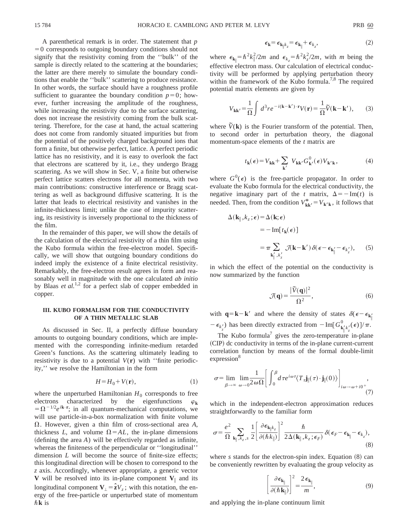A parenthetical remark is in order. The statement that *p*  $=0$  corresponds to outgoing boundary conditions should not signify that the resistivity coming from the ''bulk'' of the sample is directly related to the scattering at the boundaries; the latter are there merely to simulate the boundary conditions that enable the ''bulk'' scattering to produce resistance. In other words, the surface should have a roughness profile sufficient to guarantee the boundary condition  $p=0$ ; however, further increasing the amplitude of the roughness, while increasing the resistivity due to the surface scattering, does not increase the resistivity coming from the bulk scattering. Therefore, for the case at hand, the actual scattering does not come from randomly situated impurities but from the potential of the positively charged background ions that form a finite, but otherwise perfect, lattice. A perfect periodic lattice has no resistivity, and it is easy to overlook the fact that electrons are scattered by it, i.e., they undergo Bragg scattering. As we will show in Sec. V, a finite but otherwise perfect lattice scatters electrons for all momenta, with two main contributions: constructive interference or Bragg scattering as well as background diffusive scattering. It is the latter that leads to electrical resistivity and vanishes in the infinite-thickness limit; unlike the case of impurity scattering, its resistivity is inversely proportional to the thickness of the film.

In the remainder of this paper, we will show the details of the calculation of the electrical resistivity of a thin film using the Kubo formula within the free-electron model. Specifically, we will show that outgoing boundary conditions do indeed imply the existence of a finite electrical resistivity. Remarkably, the free-electron result agrees in form and reasonably well in magnitude with the one calculated *ab initio* by Blaas *et al.*<sup>1,2</sup> for a perfect slab of copper embedded in copper.

#### **III. KUBO FORMALISM FOR THE CONDUCTIVITY OF A THIN METALLIC SLAB**

As discussed in Sec. II, a perfectly diffuse boundary amounts to outgoing boundary conditions, which are implemented with the corresponding infinite-medium retarded Green's functions. As the scattering ultimately leading to resistivity is due to a potential  $V(\mathbf{r})$  with "finite periodicity,'' we resolve the Hamiltonian in the form

$$
H = H_0 + V(\mathbf{r}),\tag{1}
$$

where the unperturbed Hamiltonian  $H_0$  corresponds to free electrons characterized by the eigenfunctions  $\varphi_k$  $= \Omega^{-1/2}e^{i\mathbf{k}\cdot\mathbf{r}}$ ; in all quantum-mechanical computations, we will use particle-in-a-box normalization with finite volume  $\Omega$ . However, given a thin film of cross-sectional area  $A$ , thickness *L*, and volume  $\Omega = AL$ , the in-plane dimensions  $(\text{defining the area } A)$  will be effectively regarded as infinite, whereas the finiteness of the perpendicular or ''longitudinal'' dimension *L* will become the source of finite-size effects; this longitudinal direction will be chosen to correspond to the *z* axis. Accordingly, whenever appropriate, a generic vector **V** will be resolved into its in-plane component  $V_{\parallel}$  and its longitudinal component  $V_{\perp} = \hat{\mathbf{z}} V_z$ ; with this notation, the energy of the free-particle or unperturbed state of momentum  $\hbar$ **k** is

$$
\epsilon_{\mathbf{k}} = \epsilon_{\mathbf{k}_{\parallel}k_{z}} = \epsilon_{\mathbf{k}_{\parallel}} + \epsilon_{k_{z}},\tag{2}
$$

where  $\epsilon_{\mathbf{k}_{\parallel}} = \hbar^2 k_{\parallel}^2 / 2m$  and  $\epsilon_{k_z} = \hbar^2 k_z^2 / 2m$ , with *m* being the effective electron mass. Our calculation of electrical conductivity will be performed by applying perturbation theory within the framework of the Kubo formula.<sup>7,8</sup> The required potential matrix elements are given by

$$
V_{\mathbf{k}\mathbf{k'}} = \frac{1}{\Omega} \int d^3 r e^{-i(\mathbf{k} - \mathbf{k'}) \cdot \mathbf{r}} V(\mathbf{r}) = \frac{1}{\Omega} \widetilde{V}(\mathbf{k} - \mathbf{k'}),\qquad(3)
$$

where  $\tilde{V}(\mathbf{k})$  is the Fourier transform of the potential. Then, to second order in perturbation theory, the diagonal momentum-space elements of the *t* matrix are

$$
t_{\mathbf{k}}(\epsilon) = V_{\mathbf{k}\mathbf{k}} + \sum_{\mathbf{k}'} V_{\mathbf{k}\mathbf{k}'} G_{\mathbf{k}'}^{0}(\epsilon) V_{\mathbf{k}'\mathbf{k}},
$$
 (4)

where  $G^0(\epsilon)$  is the free-particle propagator. In order to evaluate the Kubo formula for the electrical conductivity, the negative imaginary part of the *t* matrix,  $\Delta = -\text{Im}(t)$  is needed. Then, from the condition  $V_{\bf kk'}^* = V_{\bf k'k}$ , it follows that

$$
\Delta(\mathbf{k}_{\parallel}, k_z; \epsilon) = \Delta(\mathbf{k}; \epsilon)
$$
  
=  $-\text{Im}[t_{\mathbf{k}}(\epsilon)]$   
=  $\pi \sum_{\mathbf{k}_{\parallel}^{\prime}, k_z^{\prime}} \mathcal{J}(\mathbf{k} - \mathbf{k}^{\prime}) \delta(\epsilon - \epsilon_{\mathbf{k}_{\parallel}^{\prime}} - \epsilon_{k_z^{\prime}}),$  (5)

in which the effect of the potential on the conductivity is now summarized by the function

$$
\mathcal{J}(\mathbf{q}) = \frac{|\tilde{V}(\mathbf{q})|^2}{\Omega^2},\tag{6}
$$

with  $\mathbf{q} = \mathbf{k} - \mathbf{k}'$  and where the density of states  $\delta(\epsilon - \epsilon_{\mathbf{k}})$  $-\epsilon_{k_z'}$ ) has been directly extracted from  $-\text{Im}[G_{\mathbf{k}_{\parallel}^{j}k_z'}^0(\epsilon)]/\pi$ .

The Kubo formula<sup> $\prime$ </sup> gives the zero-temperature in-plane ~CIP! dc conductivity in terms of the in-plane current-current correlation function by means of the formal double-limit expression<sup>8</sup>

$$
\sigma = \lim_{\beta \to \infty} \lim_{\omega \to 0} \frac{1}{2 \omega \Omega} \left[ \int_0^\beta d\,\tau e^{i\omega \tau} \langle T_{\tau} \mathbf{j}_{\parallel}(\tau) \cdot \mathbf{j}_{\parallel}(0) \rangle \right]_{i\omega \to \omega + i0^+} ,
$$

which in the independent-electron approximation reduces straightforwardly to the familiar form

$$
\sigma = \frac{e^2}{\Omega} \sum_{\mathbf{k}_{\parallel}, k_z, s} \frac{1}{2} \left[ \frac{\partial \epsilon_{\mathbf{k}_{\parallel} k_z}}{\partial (\hbar k_{\parallel})} \right]^2 \frac{\hbar}{2\Delta(\mathbf{k}_{\parallel}, k_z; \epsilon_F)} \delta(\epsilon_F - \epsilon_{\mathbf{k}_{\parallel}} - \epsilon_{k_z}),
$$
\n(8)

where  $s$  stands for the electron-spin index. Equation  $(8)$  can be conveniently rewritten by evaluating the group velocity as

$$
\left[\frac{\partial \epsilon_{\mathbf{k}_{\parallel}}}{\partial(\hbar \mathbf{k}_{\parallel})}\right]^2 = \frac{2 \epsilon_{\mathbf{k}_{\parallel}}}{m},\tag{9}
$$

and applying the in-plane continuum limit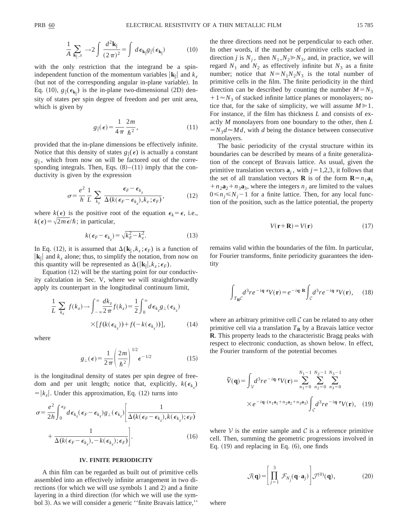$$
\frac{1}{A} \sum_{\mathbf{k}_{\parallel},s} \rightarrow 2 \int \frac{d^2 \mathbf{k}_{\parallel}}{(2\pi)^2} = \int d\epsilon_{\mathbf{k}_{\parallel}} g_{\parallel}(\epsilon_{\mathbf{k}_{\parallel}})
$$
(10)

with the only restriction that the integrand be a spinindependent function of the momentum variables  $|\mathbf{k}_{\parallel}|$  and  $k_z$ (but not of the corresponding angular in-plane variable). In Eq. (10),  $g_{\parallel}(\epsilon_{\mathbf{k}_{\parallel}})$  is the in-plane two-dimensional (2D) density of states per spin degree of freedom and per unit area, which is given by

$$
g_{\parallel}(\epsilon) = \frac{1}{4\pi} \frac{2m}{\hbar^2},\tag{11}
$$

provided that the in-plane dimensions be effectively infinite. Notice that this density of states  $g_{\parallel}(\epsilon)$  is actually a constant  $g_{\parallel}$ , which from now on will be factored out of the corresponding integrals. Then, Eqs.  $(8)–(11)$  imply that the conductivity is given by the expression

$$
\sigma = \frac{e^2}{h} \frac{1}{L} \sum_{k_z} \frac{\epsilon_F - \epsilon_{k_z}}{\Delta(k(\epsilon_F - \epsilon_{k_z}), k_z; \epsilon_F)},
$$
(12)

where  $k(\epsilon)$  is the positive root of the equation  $\epsilon_k = \epsilon$ , i.e.,  $k(\epsilon) = \sqrt{2m\epsilon/\hbar}$ ; in particular,

$$
k(\epsilon_F - \epsilon_{k_z}) = \sqrt{k_F^2 - k_z^2}.
$$
 (13)

In Eq. (12), it is assumed that  $\Delta(\mathbf{k}_{\parallel}, k_{z}; \epsilon_{F})$  is a function of  $|\mathbf{k}_{\parallel}|$  and  $k_z$  alone; thus, to simplify the notation, from now on this quantity will be represented as  $\Delta(|\mathbf{k}_{\parallel}, k_z; \epsilon_F)$ .

Equation  $(12)$  will be the starting point for our conductivity calculation in Sec. V, where we will straightforwardly apply its counterpart in the longitudinal continuum limit,

$$
\frac{1}{L} \sum_{k_z} f(k_z) \rightarrow \int_{-\infty}^{\infty} \frac{dk_z}{2\pi} f(k_z) = \frac{1}{2} \int_{0}^{\infty} d\epsilon_{k_z} g_{\perp}(\epsilon_{k_z})
$$

$$
\times [f(k(\epsilon_{k_z})) + f(-k(\epsilon_{k_z}))], \tag{14}
$$

where

$$
g_{\perp}(\epsilon) = \frac{1}{2\pi} \left(\frac{2m}{\hbar^2}\right)^{1/2} \epsilon^{-1/2}
$$
 (15)

is the longitudinal density of states per spin degree of freedom and per unit length; notice that, explicitly,  $k(\epsilon_{k_z})$  $= |k_z|$ . Under this approximation, Eq. (12) turns into

$$
\sigma = \frac{e^2}{2h} \int_0^{\epsilon_F} d\epsilon_{k_z} (\epsilon_F - \epsilon_{k_z}) g_{\perp} (\epsilon_{k_z}) \left[ \frac{1}{\Delta(k(\epsilon_F - \epsilon_{k_z}), k(\epsilon_{k_z}); \epsilon_F)} + \frac{1}{\Delta(k(\epsilon_F - \epsilon_{k_z}), -k(\epsilon_{k_z}); \epsilon_F)} \right].
$$
\n(16)

#### **IV. FINITE PERIODICITY**

A thin film can be regarded as built out of primitive cells assembled into an effectively infinite arrangement in two directions (for which we will use symbols 1 and 2) and a finite layering in a third direction (for which we will use the symbol 3). As we will consider a generic "finite Bravais lattice,"

the three directions need not be perpendicular to each other. In other words, if the number of primitive cells stacked in direction *j* is  $N_j$ , then  $N_1$ ,  $N_2 \ge N_3$ , and, in practice, we will regard  $N_1$  and  $N_2$  as effectively infinite but  $N_3$  as a finite number; notice that  $N=N_1N_2N_3$  is the total number of primitive cells in the film. The finite periodicity in the third direction can be described by counting the number  $M = N_3$  $1 \approx N_3$  of stacked infinite lattice planes or monolayers; notice that, for the sake of simplicity, we will assume  $M \ge 1$ . For instance, if the film has thickness *L* and consists of exactly *M* monolayers from one boundary to the other, then *L*  $N_3 d \approx Md$ , with *d* being the distance between consecutive monolayers.

The basic periodicity of the crystal structure within its boundaries can be described by means of a finite generalization of the concept of Bravais lattice. As usual, given the primitive translation vectors  $\mathbf{a}_i$ , with  $j=1,2,3$ , it follows that the set of all translation vectors **R** is of the form  $\mathbf{R} = n_1 \mathbf{a}_1$  $+n_2$ **a**<sub>2</sub> +  $n_3$ **a**<sub>3</sub>, where the integers  $n_j$  are limited to the values  $0 \le n_i \le N_i - 1$  for a finite lattice. Then, for any local function of the position, such as the lattice potential, the property

$$
V(\mathbf{r} + \mathbf{R}) = V(\mathbf{r})\tag{17}
$$

remains valid within the boundaries of the film. In particular, for Fourier transforms, finite periodicity guarantees the identity

$$
\int_{T_{\mathbf{R}}C} d^3r e^{-i\mathbf{q}\cdot\mathbf{r}} V(\mathbf{r}) = e^{-i\mathbf{q}\cdot\mathbf{R}} \int_C d^3r e^{-i\mathbf{q}\cdot\mathbf{r}} V(\mathbf{r}), \quad (18)
$$

where an arbitrary primitive cell  $\mathcal C$  can be related to any other primitive cell via a translation  $T<sub>R</sub>$  by a Bravais lattice vector **R**. This property leads to the characteristic Bragg peaks with respect to electronic conduction, as shown below. In effect, the Fourier transform of the potential becomes

$$
\widetilde{V}(\mathbf{q}) = \int_{\mathcal{V}} d^3 r e^{-i\mathbf{q} \cdot \mathbf{r}} V(\mathbf{r}) = \sum_{n_1=0}^{N_1-1} \sum_{n_2=0}^{N_2-1} \sum_{n_3=0}^{N_3-1}
$$
\n
$$
\times e^{-i\mathbf{q} \cdot (n_1 \mathbf{a}_1 + n_2 \mathbf{a}_2 + n_3 \mathbf{a}_3)} \int_{\mathcal{C}} d^3 r e^{-i\mathbf{q} \cdot \mathbf{r}} V(\mathbf{r}), \quad (19)
$$

where  $V$  is the entire sample and  $C$  is a reference primitive cell. Then, summing the geometric progressions involved in Eq.  $(19)$  and replacing in Eq.  $(6)$ , one finds

$$
\mathcal{J}(\mathbf{q}) = \left[ \prod_{j=1}^{3} \mathcal{F}_{N_j}(\mathbf{q} \cdot \mathbf{a}_j) \right] \mathcal{J}^{(0)}(\mathbf{q}), \tag{20}
$$

where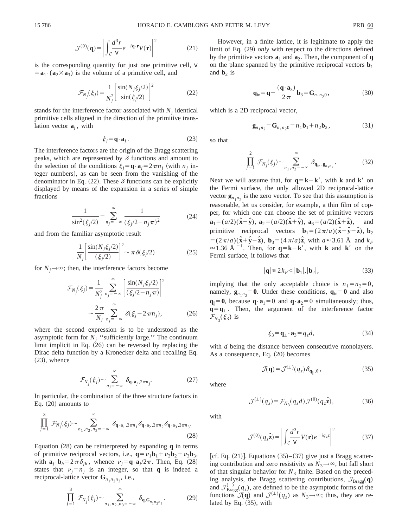$$
\mathcal{J}^{(0)}(\mathbf{q}) = \left| \int_{C} \frac{d^3 r}{V} e^{-i\mathbf{q} \cdot \mathbf{r}} V(\mathbf{r}) \right|^2 \tag{21}
$$

is the corresponding quantity for just one primitive cell, *v*  $=$ **a**<sub>1</sub> · (**a**<sub>2</sub>×**a**<sub>3</sub>) is the volume of a primitive cell, and

$$
\mathcal{F}_{N_j}(\xi_j) = \frac{1}{N_j^2} \left[ \frac{\sin(N_j \xi_j / 2)}{\sin(\xi_j / 2)} \right]^2
$$
 (22)

stands for the interference factor associated with  $N_i$  identical primitive cells aligned in the direction of the primitive translation vector  $\mathbf{a}_i$ , with

$$
\xi_j = \mathbf{q} \cdot \mathbf{a}_j. \tag{23}
$$

The interference factors are the origin of the Bragg scattering peaks, which are represented by  $\delta$  functions and amount to the selection of the conditions  $\xi_i = \mathbf{q} \cdot \mathbf{a}_i = 2 \pi n_i$  (with  $n_i$  integer numbers), as can be seen from the vanishing of the denominator in Eq. (22). These  $\delta$  functions can be explicitly displayed by means of the expansion in a series of simple fractions

$$
\frac{1}{\sin^2(\xi_j/2)} = \sum_{n_j = -\infty}^{\infty} \frac{1}{(\xi_j/2 - n_j\pi)^2}
$$
(24)

and from the familiar asymptotic result

$$
\frac{1}{N_j} \left[ \frac{\sin(N_j \xi_j / 2)}{(\xi_j / 2)} \right]^2 \sim \pi \delta(\xi_j / 2)
$$
 (25)

for  $N_i \rightarrow \infty$ ; then, the interference factors become

$$
\mathcal{F}_{N_j}(\xi_j) = \frac{1}{N_j^2} \sum_{n_j = -\infty}^{\infty} \left[ \frac{\sin(N_j \xi_j/2)}{(\xi_j/2 - n_j \pi)} \right]^2
$$

$$
\sim \frac{2\pi}{N_j} \sum_{n_j = -\infty}^{\infty} \delta(\xi_j - 2\pi n_j), \tag{26}
$$

where the second expression is to be understood as the asymptotic form for  $N_i$  "sufficiently large." The continuum limit implicit in Eq.  $(26)$  can be reversed by replacing the Dirac delta function by a Kronecker delta and recalling Eq.  $(23)$ , whence

$$
\mathcal{F}_{N_j}(\xi_j) \sim \sum_{n_j = -\infty}^{\infty} \delta_{\mathbf{q} \cdot \mathbf{a}_j, 2\pi n_j}.
$$
 (27)

In particular, the combination of the three structure factors in Eq.  $(20)$  amounts to

$$
\prod_{j=1}^{3} \mathcal{F}_{N_j}(\xi_j) \sim \sum_{n_1, n_2, n_3 = -\infty}^{\infty} \delta_{\mathbf{q} \cdot \mathbf{a}_1, 2\pi n_1} \delta_{\mathbf{q} \cdot \mathbf{a}_2, 2\pi n_2} \delta_{\mathbf{q} \cdot \mathbf{a}_3, 2\pi n_3}.
$$
\n(28)

Equation  $(28)$  can be reinterpreted by expanding **q** in terms of primitive reciprocal vectors, i.e.,  $\mathbf{q} = \nu_1 \mathbf{b}_1 + \nu_2 \mathbf{b}_2 + \nu_3 \mathbf{b}_3$ , with  $\mathbf{a}_j \cdot \mathbf{b}_h = 2 \pi \delta_{jh}$ , whence  $\nu_j = \mathbf{q} \cdot \mathbf{a}_j / 2 \pi$ . Then, Eq. (28) states that  $v_j = n_j$  is an integer, so that **q** is indeed a reciprocal-lattice vector  $\mathbf{G}_{n_1 n_2 n_3}$ , i.e.,

$$
\prod_{j=1}^{3} \mathcal{F}_{N_j}(\xi_j) \sim \sum_{n_1, n_2, n_3 = -\infty}^{\infty} \delta_{\mathbf{q}, \mathbf{G}_{n_1 n_2 n_3}}.
$$
 (29)

However, in a finite lattice, it is legitimate to apply the limit of Eq. (29) *only* with respect to the directions defined by the primitive vectors  $\mathbf{a}_1$  and  $\mathbf{a}_2$ . Then, the component of **q** on the plane spanned by the primitive reciprocal vectors  $\mathbf{b}_1$ and  $\mathbf{b}_2$  is

$$
\mathbf{q}_{\rm in} = \mathbf{q} - \frac{(\mathbf{q} \cdot \mathbf{a}_3)}{2\pi} \mathbf{b}_3 = \mathbf{G}_{n_1 n_2 0},\tag{30}
$$

which is a 2D reciprocal vector,

$$
\mathbf{g}_{n_1 n_2} = \mathbf{G}_{n_1 n_2 0} = n_1 \mathbf{b}_1 + n_2 \mathbf{b}_2, \tag{31}
$$

so that

$$
\prod_{j=1}^{2} \mathcal{F}_{N_j}(\xi_j) \sim \sum_{n_1, n_2 = -\infty}^{\infty} \delta_{\mathbf{q}_{\text{in}}, \mathbf{g}_{n_1 n_2}}.
$$
 (32)

Next we will assume that, for  $q=k-k'$ , with **k** and **k**<sup>6</sup> on the Fermi surface, the only allowed 2D reciprocal-lattice vector  $\mathbf{g}_{n_1 n_2}$  is the zero vector. To see that this assumption is reasonable, let us consider, for example, a thin film of copper, for which one can choose the set of primitive vectors **a**<sub>1</sub>=(*a*/2)( $\hat{\mathbf{x}}$ **+** $\hat{\mathbf{y}}$ ), **a**<sub>2</sub>=(*a*/2)( $\hat{\mathbf{x}}$ **+** $\hat{\mathbf{y}}$ ), **a**<sub>3</sub>=(*a*/2)( $\hat{\mathbf{x}}$ **+** $\hat{\mathbf{z}}$ ), and primitive reciprocal vectors  $\mathbf{b}_1 = (2\pi/a)(\hat{\mathbf{x}} - \hat{\mathbf{y}} - \hat{\mathbf{z}})$ ,  $\mathbf{b}_2$  $= (2 \pi/a)(\hat{\mathbf{x}} + \hat{\mathbf{y}} - \hat{\mathbf{z}})$ ,  $\mathbf{b}_3 = (4 \pi/a)\hat{\mathbf{z}}$ , with  $a \approx 3.61$  Å and  $k_F$  $\approx$  1.36 Å <sup>-1</sup>. Then, for  $\mathbf{q} = \mathbf{k} - \mathbf{k}'$ , with **k** and **k**<sup>6</sup> on the Fermi surface, it follows that

$$
|\mathbf{q}| \le 2k_F < |\mathbf{b}_1|, |\mathbf{b}_2|,\tag{33}
$$

implying that the only acceptable choice is  $n_1 = n_2 = 0$ , namely,  $\mathbf{g}_{n_1 n_2} = \mathbf{0}$ . Under these conditions,  $\mathbf{q}_{in} = \mathbf{0}$  and also **q**<sup> $|| = 0$ , because **q** $\cdot$ **a**<sub>1</sub> = 0 and **q** $\cdot$ **a**<sub>2</sub> = 0 simultaneously; thus,</sup>  $q = q_{\perp}$ . Then, the argument of the interference factor  $\mathcal{F}_{N_3}(\xi_3)$  is

$$
\xi_3 = \mathbf{q}_\perp \cdot \mathbf{a}_3 = q_z d,\tag{34}
$$

with *d* being the distance between consecutive monolayers. As a consequence, Eq.  $(20)$  becomes

$$
\mathcal{J}(\mathbf{q}) = \mathcal{J}^{(\perp)}(q_z) \,\delta_{\mathbf{q}_{\parallel},\mathbf{0}}\,,\tag{35}
$$

where

 $\mathcal{J}^{(\perp)}(q_z) = \mathcal{F}_{N_3}(q_z d) \mathcal{J}^{(0)}(q_z \hat{z}),$  (36)

with

$$
\mathcal{J}^{(0)}(q_z \hat{\mathbf{z}}) = \left| \int_C \frac{d^3 r}{v} V(\mathbf{r}) e^{-iq_z z} \right|^2 \tag{37}
$$

[cf. Eq.  $(21)$ ]. Equations  $(35)$ – $(37)$  give just a Bragg scattering contribution and zero resistivity as  $N_3 \rightarrow \infty$ , but fall short of that singular behavior for  $N_3$  finite. Based on the preceding analysis, the Bragg scattering contributions,  $\mathcal{J}_{\text{Braeg}}(\mathbf{q})$ and  $\mathcal{J}_{\text{Bragg}}^{(\perp)}(q_z)$ , are defined to be the asymptotic forms of the functions  $\mathcal{J}(\mathbf{q})$  and  $\mathcal{J}^{(\perp)}(q_z)$  as  $N_3 \rightarrow \infty$ ; thus, they are related by Eq.  $(35)$ , with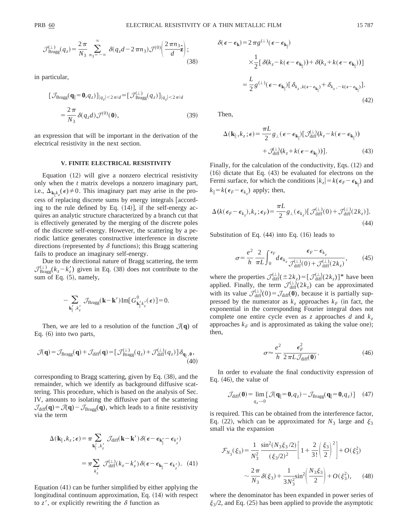$$
\mathcal{J}_{\text{Bragg}}^{(\perp)}(q_z) = \frac{2\pi}{N_3} \sum_{n_3 = -\infty}^{\infty} \delta(q_z d - 2\pi n_3) \mathcal{J}^{(0)}\left(\frac{2\pi n_3}{d}\hat{\mathbf{z}}\right);
$$
\n(38)

in particular,

$$
\begin{aligned} \left[\mathcal{J}_{\text{Bragg}}(\mathbf{q}_{\parallel}=\mathbf{0},q_z)\right]_{|q_z|&<2\pi/d} = \left[\mathcal{J}_{\text{Bragg}}^{(\perp)}(q_z)\right]_{|q_z|<2\pi/d} \\ &= \frac{2\pi}{N_3} \delta(q_z d) \mathcal{J}^{(0)}(\mathbf{0}), \end{aligned} \tag{39}
$$

an expression that will be important in the derivation of the electrical resistivity in the next section.

#### **V. FINITE ELECTRICAL RESISTIVITY**

Equation  $(12)$  will give a nonzero electrical resistivity only when the *t* matrix develops a nonzero imaginary part, i.e.,  $\Delta_{\mathbf{k}_{\parallel} k_z}(\epsilon) \neq 0$ . This imaginary part may arise in the process of replacing discrete sums by energy integrals [according to the rule defined by Eq.  $(14)$ , if the self-energy acquires an analytic structure characterized by a branch cut that is effectively generated by the merging of the discrete poles of the discrete self-energy. However, the scattering by a periodic lattice generates constructive interference in discrete directions (represented by  $\delta$  functions); this Bragg scattering fails to produce an imaginary self-energy.

Due to the directional nature of Bragg scattering, the term  $\mathcal{J}_{\text{Bragg}}^{(\perp)}(k_z - k_z^{\prime})$  given in Eq. (38) does not contribute to the sum of Eq.  $(5)$ , namely,

$$
-\sum_{\mathbf{k}_{\parallel}',k_{z}'} \mathcal{J}_{\text{Bragg}}(\mathbf{k}-\mathbf{k}') \text{Im}[\,G_{\mathbf{k}_{\parallel}'k_{z}'}^{0}(\epsilon)]\!=\!0.
$$

Then, we are led to a resolution of the function  $\mathcal{J}(\mathbf{q})$  of Eq.  $(6)$  into two parts,

$$
\mathcal{J}(\mathbf{q}) = \mathcal{J}_{\text{Bragg}}(\mathbf{q}) + \mathcal{J}_{\text{diff}}(\mathbf{q}) = [\mathcal{J}_{\text{Bragg}}^{(\perp)}(q_z) + \mathcal{J}_{\text{diff}}^{(\perp)}(q_z)] \delta_{\mathbf{q}_{\parallel},\mathbf{0}} ,
$$
\n(40)

corresponding to Bragg scattering, given by Eq. (38), and the remainder, which we identify as background diffusive scattering. This procedure, which is based on the analysis of Sec. IV, amounts to isolating the diffusive part of the scattering  $\mathcal{J}_{diff}(\mathbf{q}) = \mathcal{J}(\mathbf{q}) - \mathcal{J}_{Bragg}(\mathbf{q})$ , which leads to a finite resistivity via the term

$$
\Delta(\mathbf{k}_{\parallel}, k_{z}; \epsilon) = \pi \sum_{\mathbf{k}_{\parallel}', k'_{z}} \mathcal{J}_{\text{diff}}(\mathbf{k} - \mathbf{k}') \, \delta(\epsilon - \epsilon_{\mathbf{k}_{\parallel}'} - \epsilon_{k'_{z}})
$$

$$
= \pi \sum_{k'_{z}} \mathcal{J}_{\text{diff}}^{(\perp)}(k_{z} - k'_{z}) \, \delta(\epsilon - \epsilon_{\mathbf{k}_{\parallel}} - \epsilon_{k'_{z}}). \tag{41}
$$

Equation  $(41)$  can be further simplified by either applying the longitudinal continuum approximation, Eq.  $(14)$  with respect to  $z'$ , or explicitly rewriting the  $\delta$  function as

$$
\delta(\epsilon - \epsilon_{\mathbf{k}}) = 2 \pi g^{(\perp)}(\epsilon - \epsilon_{\mathbf{k}_{\parallel}})
$$
  
\n
$$
\times \frac{1}{2} [\delta(k_z - k(\epsilon - \epsilon_{\mathbf{k}_{\parallel}})) + \delta(k_z + k(\epsilon - \epsilon_{\mathbf{k}_{\parallel}}))]
$$
  
\n
$$
= \frac{L}{2} g^{(\perp)}(\epsilon - \epsilon_{\mathbf{k}_{\parallel}}) [\delta_{k_z, k(\epsilon - \epsilon_{\mathbf{k}_{\parallel}})} + \delta_{k_z, -k(\epsilon - \epsilon_{\mathbf{k}_{\parallel}})}].
$$
\n(42)

Then,

$$
\Delta(\mathbf{k}_{\parallel},k_{z};\epsilon) = \frac{\pi L}{2} g_{\perp}(\epsilon - \epsilon_{\mathbf{k}_{\parallel}}) [\mathcal{J}_{\text{diff}}^{\perp}(k_{z} - k(\epsilon - \epsilon_{\mathbf{k}_{\parallel}}))
$$

$$
+ \mathcal{J}_{\text{diff}}^{\perp}(k_{z} + k(\epsilon - \epsilon_{\mathbf{k}_{\parallel}}))]. \tag{43}
$$

Finally, for the calculation of the conductivity, Eqs.  $(12)$  and  $(16)$  dictate that Eq.  $(43)$  be evaluated for electrons on the Fermi surface, for which the conditions  $|k_z| = k(\epsilon_F - \epsilon_{\mathbf{k}_{\parallel}})$  and  $k_{\parallel} = k(\epsilon_F - \epsilon_{k_z})$  apply; then,

$$
\Delta(k(\epsilon_F - \epsilon_{k_z}), k_z; \epsilon_F) = \frac{\pi L}{2} g_{\perp}(\epsilon_{k_z}) \left[ \mathcal{J}_{\text{diff}}^{(\perp)}(0) + \mathcal{J}_{\text{diff}}^{(\perp)}(2k_z) \right]. \tag{44}
$$

Substitution of Eq.  $(44)$  into Eq.  $(16)$  leads to

$$
\sigma = \frac{e^2}{h} \frac{2}{\pi L} \int_0^{\epsilon_F} d\epsilon_{k_z} \frac{\epsilon_F - \epsilon_{k_z}}{\mathcal{J}_{\text{diff}}^{(\perp)}(0) + \mathcal{J}_{\text{diff}}^{(\perp)}(2k_z)},\tag{45}
$$

where the properties  $\mathcal{J}_{\text{diff}}^{(\perp)}(\pm 2k_z) = [\mathcal{J}_{\text{diff}}^{(\perp)}(2k_z)]^*$  have been applied. Finally, the term  $\mathcal{J}_{\text{diff}}^{(\perp)}(2k_z)$  can be approximated with its value  $\mathcal{J}_{\text{diff}}^{(\perp)}(0) = \mathcal{J}_{\text{diff}}(0)$ , because it is partially suppressed by the numerator as  $k_z$  approaches  $k_F$  (in fact, the exponential in the corresponding Fourier integral does not complete one entire cycle even as  $z$  approaches  $d$  and  $k_z$ approaches  $k_F$  and is approximated as taking the value one); then,

$$
\sigma \approx \frac{e^2}{h} \frac{\epsilon_F^2}{2 \pi L \mathcal{J}_{\text{diff}}(\mathbf{0})}.
$$
 (46)

In order to evaluate the final conductivity expression of Eq.  $(46)$ , the value of

$$
\mathcal{J}_{\text{diff}}(\mathbf{0}) = \lim_{q_z \to 0} \left[ \mathcal{J}(\mathbf{q}_{\parallel} = \mathbf{0}, q_z) - \mathcal{J}_{\text{Bragg}}(\mathbf{q}_{\parallel} = \mathbf{0}, q_z) \right] \quad (47)
$$

is required. This can be obtained from the interference factor, Eq. (22), which can be approximated for  $N_3$  large and  $\xi_3$ small via the expansion

$$
\mathcal{F}_{N_3}(\xi_3) = \frac{1}{N_3^2} \frac{\sin^2(N_3 \xi_3/2)}{(\xi_3/2)^2} \left[ 1 + \frac{2}{3!} \left( \frac{\xi_3}{2} \right)^2 \right] + O(\xi_3^2)
$$

$$
\sim \frac{2\pi}{N_3} \delta(\xi_3) + \frac{1}{3N_3^2} \sin^2 \left( \frac{N_3 \xi_3}{2} \right) + O(\xi_3^2), \quad (48)
$$

where the denominator has been expanded in power series of  $\xi_3/2$ , and Eq. (25) has been applied to provide the asymptotic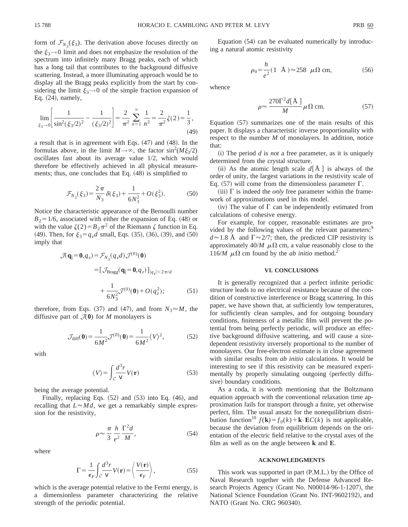form of  $\mathcal{F}_{N_3}(\xi_3)$ . The derivation above focuses directly on the  $\xi_3 \rightarrow 0$  limit and does not emphasize the resolution of the spectrum into infinitely many Bragg peaks, each of which has a long tail that contributes to the background diffusive scattering. Instead, a more illuminating approach would be to display all the Bragg peaks explicitly from the start by considering the limit  $\xi_3 \rightarrow 0$  of the simple fraction expansion of Eq.  $(24)$ , namely,

$$
\lim_{\xi_3 \to 0} \left[ \frac{1}{\sin^2(\xi_3/2)^2} - \frac{1}{(\xi_3/2)^2} \right] = \frac{2}{\pi^2} \sum_{n=1}^{\infty} \frac{1}{n^2} = \frac{2}{\pi^2} \zeta(2) = \frac{1}{3},\tag{49}
$$

a result that is in agreement with Eqs.  $(47)$  and  $(48)$ . In the formulas above, in the limit  $M \rightarrow \infty$ , the factor sin<sup>2</sup>( $M\xi_3/2$ ) oscillates fast about its average value 1/2, which would therefore be effectively achieved in all physical measurements; thus, one concludes that Eq.  $(48)$  is simplified to

$$
\mathcal{F}_{N_3}(\xi_3) = \frac{2\pi}{N_3} \delta(\xi_3) + \frac{1}{6N_3^2} + O(\xi_3^2). \tag{50}
$$

Notice the characteristic appearance of the Bernoulli number  $B_2=1/6$ , associated with either the expansion of Eq. (48) or with the value  $\zeta(2)=B_2\pi^2$  of the Riemann  $\zeta$  function in Eq. (49). Then, for  $\xi_3 = q_zd$  small, Eqs. (35), (36), (39), and (50) imply that

$$
\mathcal{J}(\mathbf{q}|| = \mathbf{0}, q_z) = \mathcal{F}_{N_3}(q_z d) \mathcal{J}^{(0)}(\mathbf{0})
$$

$$
= [\mathcal{J}_{\text{Bragg}}(\mathbf{q}|| = \mathbf{0}, q_z)]_{|q_z| < 2\pi/d}
$$

$$
+ \frac{1}{6N_3^2} \mathcal{J}^{(0)}(\mathbf{0}) + O(q_z^2); \tag{51}
$$

therefore, from Eqs. (37) and (47), and from  $N_3 \approx M$ , the diffusive part of  $J(0)$  for *M* monolayers is

$$
\mathcal{J}_{\text{diff}}(\mathbf{0}) = \frac{1}{6M^2} \mathcal{J}^{(0)}(\mathbf{0}) = \frac{1}{6M^2} \langle V \rangle^2, \tag{52}
$$

with

$$
\langle V \rangle = \int_{C} \frac{d^3 r}{V} V(\mathbf{r})
$$
 (53)

being the average potential.

Finally, replacing Eqs.  $(52)$  and  $(53)$  into Eq.  $(46)$ , and recalling that  $L \approx Md$ , we get a remarkably simple expression for the resistivity,

$$
\rho \approx \frac{\pi}{3} \frac{h}{e^2} \frac{\Gamma^2 d}{M},\tag{54}
$$

where

$$
\Gamma = \frac{1}{\epsilon_F} \int_C \frac{d^3 r}{V(\mathbf{r})} V(\mathbf{r}) = \left\langle \frac{V(\mathbf{r})}{\epsilon_F} \right\rangle, \tag{55}
$$

which is the average potential relative to the Fermi energy, is a dimensionless parameter characterizing the relative strength of the periodic potential.

Equation  $(54)$  can be evaluated numerically by introducing a natural atomic resistivity

$$
\rho_0 = \frac{h}{e^2} (1 \quad \text{\AA}) \approx 258 \quad \mu \Omega \text{ cm}, \tag{56}
$$

whence

$$
\rho \approx \frac{270\Gamma^2 d[\text{Å}]}{M} \mu \Omega \text{ cm.}
$$
 (57)

Equation  $(57)$  summarizes one of the main results of this paper. It displays a characteristic inverse proportionality with respect to the number *M* of monolayers. In addition, notice that:

 $(i)$  The period  $d$  is *not* a free parameter, as it is uniquely determined from the crystal structure.

(ii) As the atomic length scale  $d[A]$  is always of the order of unity, the largest variations in the resistivity scale of Eq.  $(57)$  will come from the dimensionless parameter  $\Gamma$ .

(iii)  $\Gamma$  is indeed the *only* free parameter within the framework of approximations used in this model.

(iv) The value of  $\Gamma$  can be independently estimated from calculations of cohesive energy.

For example, for copper, reasonable estimates are provided by the following values of the relevant parameters:<sup>9</sup>  $d \approx 1.8$  Å and  $\Gamma \approx 2/7$ ; then, the predicted CIP resistivity is approximately  $40/M \mu\Omega$  cm, a value reasonably close to the 116/*M*  $\mu\Omega$  cm found by the *ab initio* method.<sup>2</sup>

#### **VI. CONCLUSIONS**

It is generally recognized that a perfect infinite periodic structure leads to no electrical resistance because of the condition of constructive interference or Bragg scattering. In this paper, we have shown that, at sufficiently low temperatures, for sufficiently clean samples, and for outgoing boundary conditions, finiteness of a metallic film will prevent the potential from being perfectly periodic, will produce an effective background diffusive scattering, and will cause a sizedependent resistivity inversely proportional to the number of monolayers. Our free-electron estimate is in close agreement with similar results from *ab initio* calculations. It would be interesting to see if this resistivity can be measured experimentally by properly simulating outgoing (perfectly diffusive) boundary conditions.

As a coda, it is worth mentioning that the Boltzmann equation approach with the conventional relaxation time approximation fails for transport through a finite, yet otherwise perfect, film. The usual ansatz for the nonequilibrium distribution function<sup>10</sup>  $f(\mathbf{k}) = f_0(k) + \mathbf{k} \cdot \mathbf{E} C(k)$  is not applicable, because the deviation from equilibrium depends on the orientation of the electric field relative to the crystal axes of the film as well as on the angle between **k** and **E**.

#### **ACKNOWLEDGMENTS**

This work was supported in part  $(P.M.L.)$  by the Office of Naval Research together with the Defense Advanced Research Projects Agency (Grant No. N00014-96-1-1207), the National Science Foundation (Grant No. INT-9602192), and NATO (Grant No. CRG 960340).